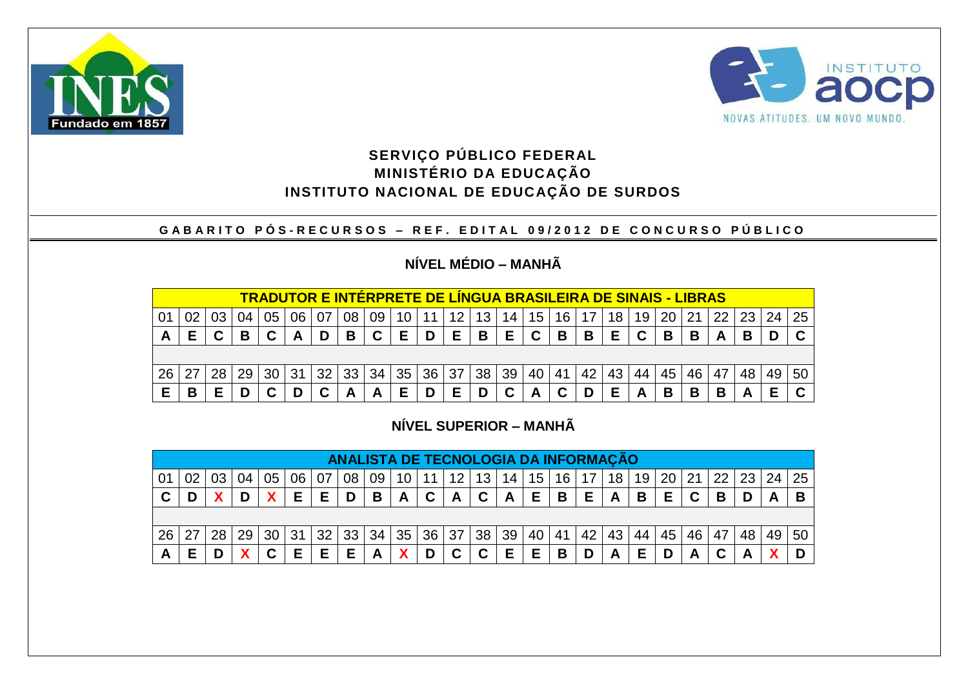



### **SERVIÇO PÚBLICO FEDERAL MINISTÉRIO DA EDUCAÇÃO INSTITUTO NACIONAL DE EDUCAÇÃO DE SURDOS**

#### **G A B A R I T O P Ó S - R E C U R S O S – R E F . E D I T A L 0 9 / 2 0 1 2 D E C O N C U R S O P Ú B L I C O**

# **NÍVEL MÉDIO – MANHÃ**

|    |   |    |    |    | <b>TRADUTOR E INTERPRETE DE LINGUA BRASILEIRA DE SINAIS - LIBRAS</b> |    |    |    |    |                 |     |    |    |    |    |    |    |    |    |    |    |    |    |    |
|----|---|----|----|----|----------------------------------------------------------------------|----|----|----|----|-----------------|-----|----|----|----|----|----|----|----|----|----|----|----|----|----|
|    |   |    |    | 05 | 06                                                                   |    | 08 | 09 | 10 | 11              | 12. | 13 | 14 | 15 | 16 |    | 18 | 19 | 20 | つ1 | つつ |    | 24 | 25 |
| A  |   |    | В  |    | A                                                                    |    | В  |    | Е  | D               | Е   | В  | Е  | C  | В  | B  | Е  |    | B  | B  | A  | В  |    |    |
|    |   |    |    |    |                                                                      |    |    |    |    |                 |     |    |    |    |    |    |    |    |    |    |    |    |    |    |
| 26 |   | 28 | 29 | 30 | 31                                                                   | 32 | 33 | 34 | 35 | 36 <sup>°</sup> | 37  | 38 | 39 | 40 | 41 | 42 | 43 | 44 | 45 | 46 | 47 | 48 | 49 | 50 |
| Е  | В |    |    |    |                                                                      |    |    |    | Е  |                 |     |    | C  |    |    |    | Е  |    | B  | В  | в  |    |    |    |

## **NÍVEL SUPERIOR – MANHÃ**

|    |     |    |    |    |    |    |    | ANALISTA DE TECNOLOGIA DA INFORMAÇÃO |                 |       |                 |                 |                 |                 |    |    |    |    |    |     |     |    |                 |    |
|----|-----|----|----|----|----|----|----|--------------------------------------|-----------------|-------|-----------------|-----------------|-----------------|-----------------|----|----|----|----|----|-----|-----|----|-----------------|----|
| 01 |     |    |    | 05 | 06 | 07 | 08 | 09                                   | 10 <sup>1</sup> | 11 I  | 12 <sup>°</sup> | 13              | 14              | 15 <sub>1</sub> | 16 | 17 | 18 | 19 | 20 | -21 | 221 | 23 | $\overline{24}$ | 25 |
| C  |     |    |    |    | Е  | Е  | D  | B                                    | $\mathbf{A}$    | C     | A               | C               | $\mathbf{A}$    | E.              | B  | Е  | A  | B  | Е  | C   | В   |    |                 |    |
|    |     |    |    |    |    |    |    |                                      |                 |       |                 |                 |                 |                 |    |    |    |    |    |     |     |    |                 |    |
| 26 | -27 | 28 | 29 | 30 | 31 | 32 | 33 | 34                                   | 35              | 36 37 |                 | 38 <sup>1</sup> | 39 <sup>°</sup> | 40              | 41 | 42 | 43 | 44 | 45 | 46  | 47  | 48 | 49              | 50 |
| A  | F   |    | v  |    | Е  | Е  | Е  | A                                    | χ               | D     | C               | C               | Е               | Е               | B  |    | A  |    |    |     |     |    |                 |    |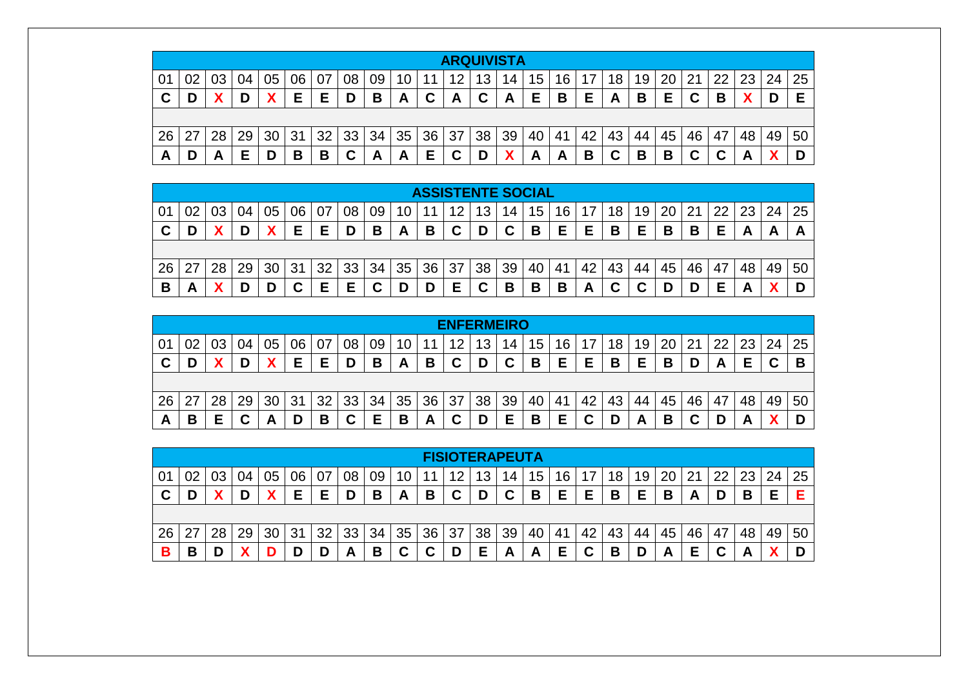|                |    |    |    |    |    |    |        |    |    |    | <b>ARQUIVISTA</b> |    |    |    |    |    |    |    |    |    |    |    |    |    |
|----------------|----|----|----|----|----|----|--------|----|----|----|-------------------|----|----|----|----|----|----|----|----|----|----|----|----|----|
| 0 <sup>1</sup> | 02 |    | 04 | 05 | 06 | 07 | 08     | 09 | 10 | 11 | 12                | 13 | 14 | 15 | 16 | 17 | 18 | 19 | 20 | 21 | 22 | 23 | 24 | 25 |
| C              | D  |    |    |    | Е  | E  | D      | В  | A  | C  | A                 | C  | A  | Е  | В  | Е  | A  | В  | Е  |    | В  |    |    |    |
|                |    |    |    |    |    |    |        |    |    |    |                   |    |    |    |    |    |    |    |    |    |    |    |    |    |
| 26             | 27 | 28 | 29 | 30 | 31 | 32 | 33     | 34 | 35 | 36 | 37                | 38 | 39 | 40 | 41 | 42 | 43 | 44 | 45 | 46 | 47 | 48 | 49 | 50 |
| A              | D  | Α  | E  |    | В  | В  | ⌒<br>v | A  | A  | Е  | ◠                 |    |    | A  | A  | в  | С  | В  | В  |    |    | г  |    |    |

|    |    |    |    |    |    |    |    |    |    | <b>ASSISTENTE SOCIAL</b> |    |                          |    |    |                 |    |                 |    |    |    |    |    |    |    |
|----|----|----|----|----|----|----|----|----|----|--------------------------|----|--------------------------|----|----|-----------------|----|-----------------|----|----|----|----|----|----|----|
| 01 | 02 |    |    | 05 | 06 | 07 | 08 | 09 | 10 | 11                       | 12 |                          | 14 | 15 | 16 <sub>1</sub> | 17 | 18 <sub>1</sub> | 19 | 20 | 21 | つつ | 23 | 24 | 25 |
| C  | D  |    | D  |    | Е  | Е  | D  | В  | A  | В                        | C  |                          | C  | B  | Е               | Е  | В               | Е  | В  | В  | Е  |    | A  |    |
|    |    |    |    |    |    |    |    |    |    |                          |    |                          |    |    |                 |    |                 |    |    |    |    |    |    |    |
| 26 |    | 28 | 29 | 30 | 31 | 32 | 33 | 34 | 35 | 36                       | 37 | 38                       | 39 | 40 | 41              | 42 | 43              | 44 | 45 | 46 | 47 | 48 | 49 | 50 |
| В  | A  |    |    |    | 灬  | F  | F  | r  |    | D                        | Е  | $\overline{\phantom{a}}$ | B  | B  | В               | A  | ◠               |    | D  | D  | Е  |    |    |    |

|                |    |    |    |    |    |    |        |    |     |    | <b>ENFERMEIRO</b> |    |        |    |    |     |    |    |    |    |     |    |    |    |
|----------------|----|----|----|----|----|----|--------|----|-----|----|-------------------|----|--------|----|----|-----|----|----|----|----|-----|----|----|----|
| 0 <sup>1</sup> | 02 |    |    |    | 06 |    | 08     | 09 | 1 ∩ |    | 12                | 13 | 14     | 15 | 16 | 1 7 | 18 | 19 | 20 | 21 | -22 | 23 | 24 | 25 |
| С              |    |    |    |    | Е  | Е  | D      | B  | A   | В  | ◠<br>◡            | D  | ◠<br>◡ | В  | Е  | Е   | B  | Е  | В  |    | n   | Е  |    |    |
|                |    |    |    |    |    |    |        |    |     |    |                   |    |        |    |    |     |    |    |    |    |     |    |    |    |
| 26             | 27 | 28 | 29 | 30 | 31 | 32 | 33     | 34 | 35  | 36 | 37                | 38 | 39     | 40 | 41 | 42  | 43 | 44 | 45 | 46 | 47  | 48 | 49 | 50 |
| A              | B  | F  |    | A  |    | В  | r<br>v | Е  | В   | A  | ⌒<br>v            | D  | E      | В  | Е  |     |    | n  | В  |    |     | n. |    |    |

|                |                                                                                                  |    |    |    |    |    |    |    |        |    | <b>FISIOTERAPEUTA</b> |    |    |                 |                 |    |                 |    |    |    |        |                 |    |    |
|----------------|--------------------------------------------------------------------------------------------------|----|----|----|----|----|----|----|--------|----|-----------------------|----|----|-----------------|-----------------|----|-----------------|----|----|----|--------|-----------------|----|----|
| 0 <sup>1</sup> | 02                                                                                               |    | 04 |    | 06 | 07 | 08 | 09 | 10     | 11 | 12                    | 13 | 14 | 15 <sub>1</sub> | 16 <sub>1</sub> |    | 18 <sub>1</sub> | 19 | 20 | 21 | 22     | 23 <sup>1</sup> | 24 | 25 |
| C              | E<br>Е<br>F<br>B<br>F<br>F<br>Е<br>Е<br>Ĉ<br>В<br>В<br>В<br>В<br>D<br>В<br>r<br>D<br>A<br>◡<br>ັ |    |    |    |    |    |    |    |        |    |                       |    |    |                 |                 |    |                 |    |    |    |        |                 |    |    |
|                |                                                                                                  |    |    |    |    |    |    |    |        |    |                       |    |    |                 |                 |    |                 |    |    |    |        |                 |    |    |
| 26             | 27                                                                                               | 28 | 29 | 30 | 31 | 32 | 33 | 34 | 35     | 36 | 37                    | 38 | 39 | 40              | 41              | 42 | 43              | 44 | 45 | 46 | 47     | 48              | 49 | 50 |
| в              | В                                                                                                |    |    |    | D  |    | A  | В  | ◠<br>◡ | ື  | D                     | Е  | A  | A               | Е               |    | В               |    | A  | F  | A<br>ື | $\mathsf{A}$    |    |    |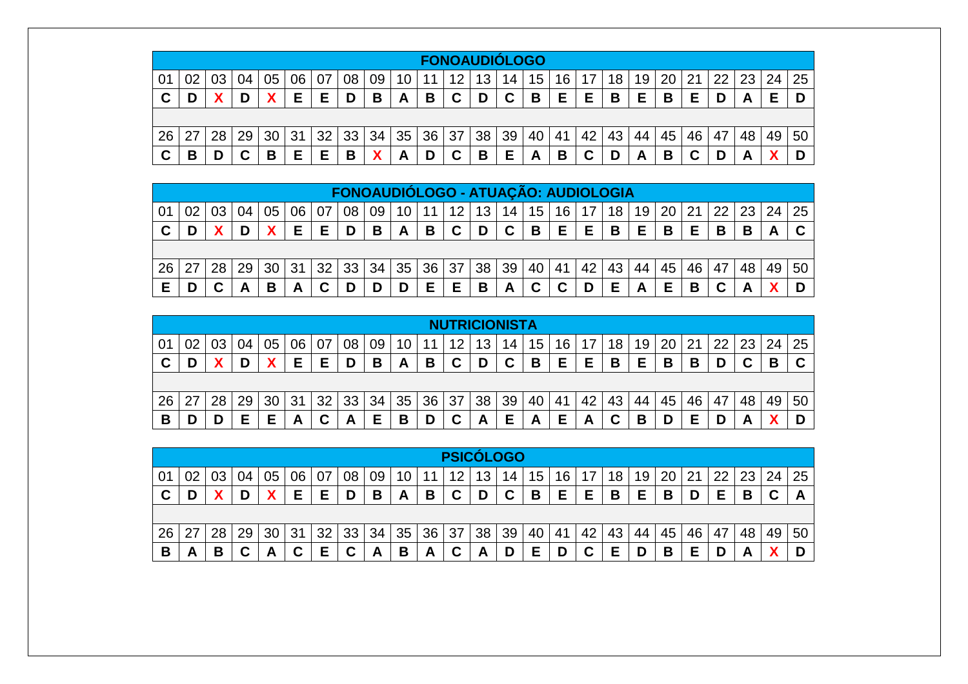|                |    |    |    |    |    |     |    |    |                 |    | <b>FONOAUDIÓLOGO</b> |    |    |    |    |    |    |    |    |    |    |    |    |    |
|----------------|----|----|----|----|----|-----|----|----|-----------------|----|----------------------|----|----|----|----|----|----|----|----|----|----|----|----|----|
| 0 <sup>1</sup> | 02 |    | 04 | 05 | 06 | -07 | 08 | 09 | 10 <sub>1</sub> | 11 | 12                   | 13 | 14 | 15 | 16 |    | 18 | 19 | 20 | 21 | 22 | 23 | 24 | 25 |
| C              | D  |    |    |    | F  | F   | D  | В  | A               | В  | C                    | D  | C  | В  | Е  | Е  | B  | F  | B  | F  | D  | A  | F  |    |
|                |    |    |    |    |    |     |    |    |                 |    |                      |    |    |    |    |    |    |    |    |    |    |    |    |    |
| 26             | 27 | 28 | 29 | 30 | 31 | 32  | 33 | 34 | 35              | 36 | 37                   | 38 | 39 | 40 | 41 | 42 | 43 | 44 | 45 | 46 | 47 | 48 | 49 | 50 |
| C              | В  |    | r  | В  | Е  | E   | B  |    | A               |    | C                    | B  | Е  | A  | B  | C  | D  | A  | В  |    |    | г  |    |    |

|    |    |    |    |    |    |    |    |              |    | FONOAUDIÓLOGO - ATUAÇÃO: AUDIOLOGIA |                 |             |                 |                 |    |    |    |                 |    |                 |    |       |    |
|----|----|----|----|----|----|----|----|--------------|----|-------------------------------------|-----------------|-------------|-----------------|-----------------|----|----|----|-----------------|----|-----------------|----|-------|----|
|    |    |    | 05 | 06 |    | 08 | 09 | 10           | 11 | 12                                  | 13 <sup>°</sup> | 14          | 15 <sup>1</sup> | 16 <sub>1</sub> |    | 18 | 19 | 20 <sup>1</sup> | 21 | 22 <sub>1</sub> |    | 23 24 | 25 |
| C  |    |    |    | Е  | E. | D  | B  | $\mathsf{A}$ | B  | $\mathbf C$                         | D               | $\mathbf C$ | B               | E.              | Е  | B  | Е  | B               | Е  | В               | В  |       | C  |
|    |    |    |    |    |    |    |    |              |    |                                     |                 |             |                 |                 |    |    |    |                 |    |                 |    |       |    |
| 26 | 28 | 29 | 30 | 31 | 32 | 33 | 34 | 35           | 36 | 37                                  | 38 <sub>1</sub> | 39          | 40 l            | 41              | 42 | 43 | 44 | 45              | 46 | 47              | 48 | 49    | 50 |
| Е  |    |    | В  |    |    |    |    | D            | E  | Е                                   | B               | Α           |                 |                 |    | Е  |    | Е               | B  |                 |    |       |    |

|                |    |    |    |    |    |    |    |     |    | <b>NUTRICIONISTA</b> |    |    |    |    |    |    |    |    |    |     |    |    |    |
|----------------|----|----|----|----|----|----|----|-----|----|----------------------|----|----|----|----|----|----|----|----|----|-----|----|----|----|
| 0 <sup>4</sup> | 02 |    |    | 06 |    | 08 | 09 | 1 ∩ |    | 12                   | 13 | 14 | 15 | 16 | ⇁  | 18 | 19 | 20 | 21 | -22 | 23 | 24 | 25 |
| C              |    | D  |    | Е  | Е  | D  | В  | A   | В  | C                    | D  | C  | B  | Е  | Е  | В  | Е  | В  | В  |     |    | D  | C  |
|                |    |    |    |    |    |    |    |     |    |                      |    |    |    |    |    |    |    |    |    |     |    |    |    |
| 26             | 27 | 29 | 30 | 31 | 32 | 33 | 34 | 35  | 36 | 37                   | 38 | 39 | 40 | 41 | 42 | 43 | 44 | 45 | 46 | 47  | 48 | 49 | 50 |
| В              |    | Е  | F  | A  |    | A  | Е  | B   |    | ⌒                    | A  | Е  | A  | Е  | A  | ⌒  | В  |    |    |     | Γ, |    |    |

|    |     |                 |        |    |    |    |    |    |    |                 | <b>PSICÓLOGO</b> |                 |    |    |    |                 |    |    |                 |    |    |    |                      |    |
|----|-----|-----------------|--------|----|----|----|----|----|----|-----------------|------------------|-----------------|----|----|----|-----------------|----|----|-----------------|----|----|----|----------------------|----|
| 01 | 02  |                 | 04     | 05 | 06 | 07 | 08 | 09 | 10 | 11              | 12               | 13 <sub>1</sub> | 14 | 15 | 16 | 17 <sup>2</sup> | 18 | 19 | 20 <sub>1</sub> | 21 | 22 |    | $23 \mid 24 \mid 25$ |    |
| C  | D   |                 |        |    | Е  | Е  | D  | В  | A  | B               | $\mathbf c$      | D               | C  | B  | Е  | Е               | B  | Е  | B               | D  | Е  | В  | ◠                    | A  |
|    |     |                 |        |    |    |    |    |    |    |                 |                  |                 |    |    |    |                 |    |    |                 |    |    |    |                      |    |
| 26 | -27 | 28 <sub>1</sub> | 29     | 30 | 31 | 32 | 33 | 34 | 35 | 36 <sup>1</sup> | 37               | 38              | 39 | 40 | 41 | 42              | 43 | 44 | 45              | 46 | 47 | 48 | 49                   | 50 |
| B  | A   | В               | ◠<br>v | A  | C  | Е  | C  | A  | B  | A               | C                | A               | D  | Е  | D  |                 | Е  | D  | B               |    | D  | A  |                      |    |